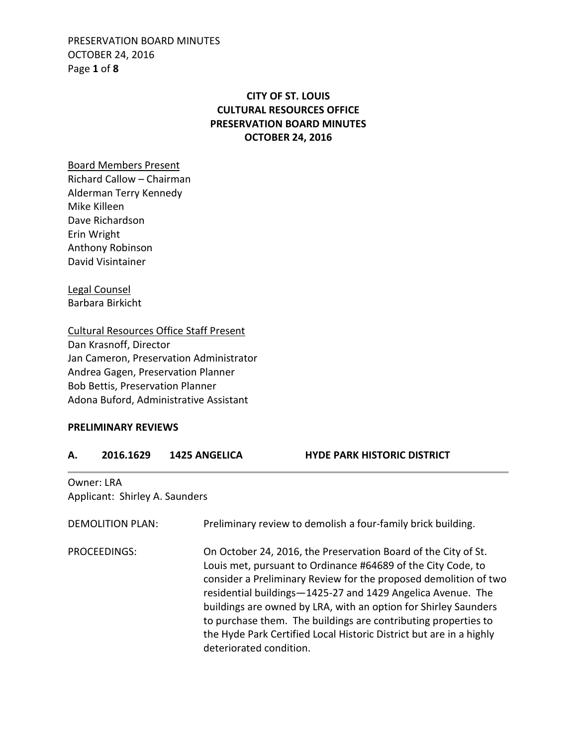PRESERVATION BOARD MINUTES OCTOBER 24, 2016 Page **1** of **8**

# **CITY OF ST. LOUIS CULTURAL RESOURCES OFFICE PRESERVATION BOARD MINUTES OCTOBER 24, 2016**

Board Members Present

Richard Callow – Chairman Alderman Terry Kennedy Mike Killeen Dave Richardson Erin Wright Anthony Robinson David Visintainer

Legal Counsel Barbara Birkicht

Cultural Resources Office Staff Present Dan Krasnoff, Director Jan Cameron, Preservation Administrator Andrea Gagen, Preservation Planner Bob Bettis, Preservation Planner Adona Buford, Administrative Assistant

### **PRELIMINARY REVIEWS**

| А.                  | 2016.1629                                    | <b>1425 ANGELICA</b> | <b>HYDE PARK HISTORIC DISTRICT</b>                                                                                                                                                                                                                                                                                                                                                                                                                                            |
|---------------------|----------------------------------------------|----------------------|-------------------------------------------------------------------------------------------------------------------------------------------------------------------------------------------------------------------------------------------------------------------------------------------------------------------------------------------------------------------------------------------------------------------------------------------------------------------------------|
|                     | Owner: LRA<br>Applicant: Shirley A. Saunders |                      |                                                                                                                                                                                                                                                                                                                                                                                                                                                                               |
|                     | <b>DEMOLITION PLAN:</b>                      |                      | Preliminary review to demolish a four-family brick building.                                                                                                                                                                                                                                                                                                                                                                                                                  |
| <b>PROCEEDINGS:</b> |                                              |                      | On October 24, 2016, the Preservation Board of the City of St.<br>Louis met, pursuant to Ordinance #64689 of the City Code, to<br>consider a Preliminary Review for the proposed demolition of two<br>residential buildings-1425-27 and 1429 Angelica Avenue. The<br>buildings are owned by LRA, with an option for Shirley Saunders<br>to purchase them. The buildings are contributing properties to<br>the Hyde Park Certified Local Historic District but are in a highly |

deteriorated condition.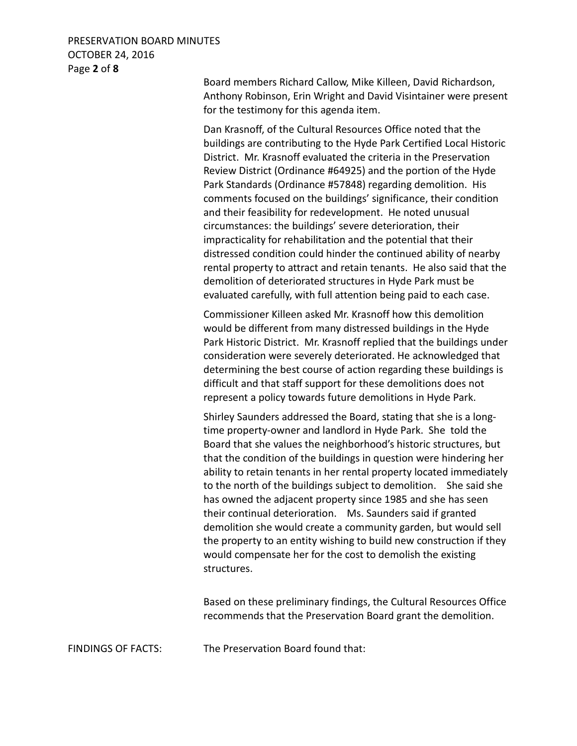## PRESERVATION BOARD MINUTES OCTOBER 24, 2016 Page **2** of **8**

 Board members Richard Callow, Mike Killeen, David Richardson, Anthony Robinson, Erin Wright and David Visintainer were present for the testimony for this agenda item.

 Dan Krasnoff, of the Cultural Resources Office noted that the buildings are contributing to the Hyde Park Certified Local Historic District. Mr. Krasnoff evaluated the criteria in the Preservation Review District (Ordinance #64925) and the portion of the Hyde Park Standards (Ordinance #57848) regarding demolition. His comments focused on the buildings' significance, their condition and their feasibility for redevelopment. He noted unusual circumstances: the buildings' severe deterioration, their impracticality for rehabilitation and the potential that their distressed condition could hinder the continued ability of nearby rental property to attract and retain tenants. He also said that the demolition of deteriorated structures in Hyde Park must be evaluated carefully, with full attention being paid to each case.

 Commissioner Killeen asked Mr. Krasnoff how this demolition would be different from many distressed buildings in the Hyde Park Historic District. Mr. Krasnoff replied that the buildings under consideration were severely deteriorated. He acknowledged that determining the best course of action regarding these buildings is difficult and that staff support for these demolitions does not represent a policy towards future demolitions in Hyde Park.

 Shirley Saunders addressed the Board, stating that she is a longtime property-owner and landlord in Hyde Park. She told the Board that she values the neighborhood's historic structures, but that the condition of the buildings in question were hindering her ability to retain tenants in her rental property located immediately to the north of the buildings subject to demolition. She said she has owned the adjacent property since 1985 and she has seen their continual deterioration. Ms. Saunders said if granted demolition she would create a community garden, but would sell the property to an entity wishing to build new construction if they would compensate her for the cost to demolish the existing structures.

 Based on these preliminary findings, the Cultural Resources Office recommends that the Preservation Board grant the demolition.

FINDINGS OF FACTS: The Preservation Board found that: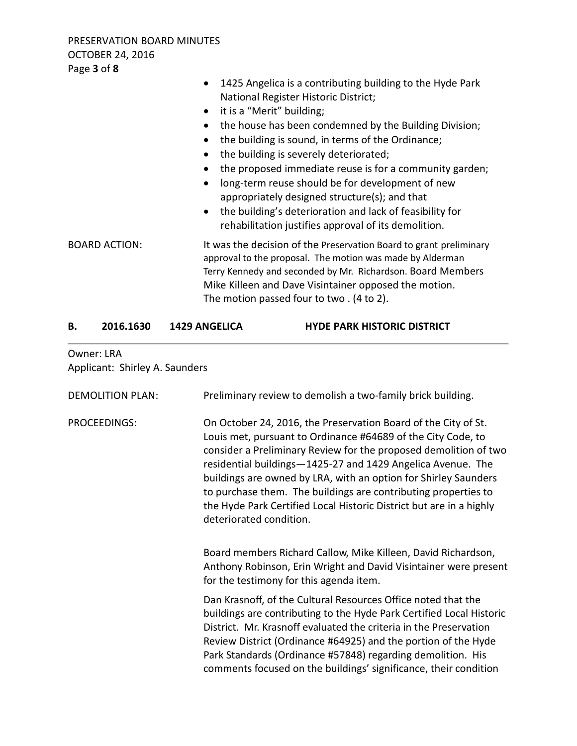|                      | 1425 Angelica is a contributing building to the Hyde Park<br>National Register Historic District;<br>it is a "Merit" building;<br>the house has been condemned by the Building Division;<br>the building is sound, in terms of the Ordinance;<br>the building is severely deteriorated;<br>$\bullet$<br>the proposed immediate reuse is for a community garden;<br>long-term reuse should be for development of new<br>appropriately designed structure(s); and that<br>the building's deterioration and lack of feasibility for<br>$\bullet$<br>rehabilitation justifies approval of its demolition. |
|----------------------|-------------------------------------------------------------------------------------------------------------------------------------------------------------------------------------------------------------------------------------------------------------------------------------------------------------------------------------------------------------------------------------------------------------------------------------------------------------------------------------------------------------------------------------------------------------------------------------------------------|
| <b>BOARD ACTION:</b> | It was the decision of the Preservation Board to grant preliminary<br>approval to the proposal. The motion was made by Alderman<br>Terry Kennedy and seconded by Mr. Richardson. Board Members<br>Mike Killeen and Dave Visintainer opposed the motion.<br>The motion passed four to two. (4 to 2).                                                                                                                                                                                                                                                                                                   |

### B. 2016.1630 1429 ANGELICA HYDE PARK HISTORIC DISTRICT

# Owner: LRA Applicant: Shirley A. Saunders

| <b>DEMOLITION PLAN:</b> | Preliminary review to demolish a two-family brick building.                                                                                                                                                                                                                                                                                                                                                                                                                                              |
|-------------------------|----------------------------------------------------------------------------------------------------------------------------------------------------------------------------------------------------------------------------------------------------------------------------------------------------------------------------------------------------------------------------------------------------------------------------------------------------------------------------------------------------------|
| PROCEEDINGS:            | On October 24, 2016, the Preservation Board of the City of St.<br>Louis met, pursuant to Ordinance #64689 of the City Code, to<br>consider a Preliminary Review for the proposed demolition of two<br>residential buildings-1425-27 and 1429 Angelica Avenue. The<br>buildings are owned by LRA, with an option for Shirley Saunders<br>to purchase them. The buildings are contributing properties to<br>the Hyde Park Certified Local Historic District but are in a highly<br>deteriorated condition. |
|                         | Board members Richard Callow, Mike Killeen, David Richardson,<br>Anthony Robinson, Erin Wright and David Visintainer were present<br>for the testimony for this agenda item.                                                                                                                                                                                                                                                                                                                             |
|                         | Dan Krasnoff, of the Cultural Resources Office noted that the<br>buildings are contributing to the Hyde Park Certified Local Historic<br>District. Mr. Krasnoff evaluated the criteria in the Preservation<br>Review District (Ordinance #64925) and the portion of the Hyde<br>Park Standards (Ordinance #57848) regarding demolition. His<br>comments focused on the buildings' significance, their condition                                                                                          |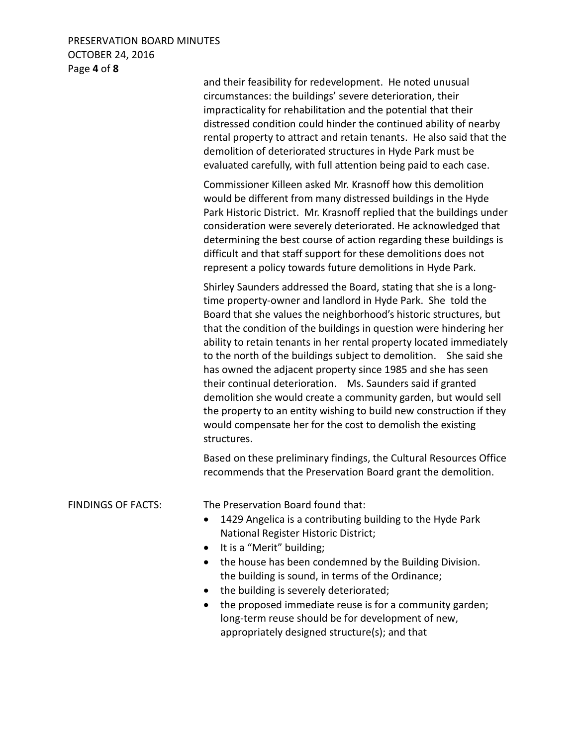## PRESERVATION BOARD MINUTES OCTOBER 24, 2016 Page **4** of **8**

and their feasibility for redevelopment. He noted unusual circumstances: the buildings' severe deterioration, their impracticality for rehabilitation and the potential that their distressed condition could hinder the continued ability of nearby rental property to attract and retain tenants. He also said that the demolition of deteriorated structures in Hyde Park must be evaluated carefully, with full attention being paid to each case.

Commissioner Killeen asked Mr. Krasnoff how this demolition would be different from many distressed buildings in the Hyde Park Historic District. Mr. Krasnoff replied that the buildings under consideration were severely deteriorated. He acknowledged that determining the best course of action regarding these buildings is difficult and that staff support for these demolitions does not represent a policy towards future demolitions in Hyde Park.

Shirley Saunders addressed the Board, stating that she is a longtime property-owner and landlord in Hyde Park. She told the Board that she values the neighborhood's historic structures, but that the condition of the buildings in question were hindering her ability to retain tenants in her rental property located immediately to the north of the buildings subject to demolition. She said she has owned the adjacent property since 1985 and she has seen their continual deterioration. Ms. Saunders said if granted demolition she would create a community garden, but would sell the property to an entity wishing to build new construction if they would compensate her for the cost to demolish the existing structures.

 Based on these preliminary findings, the Cultural Resources Office recommends that the Preservation Board grant the demolition.

FINDINGS OF FACTS: The Preservation Board found that:

- 1429 Angelica is a contributing building to the Hyde Park National Register Historic District;
- It is a "Merit" building;
- the house has been condemned by the Building Division. the building is sound, in terms of the Ordinance;
- the building is severely deteriorated;
- the proposed immediate reuse is for a community garden; long-term reuse should be for development of new, appropriately designed structure(s); and that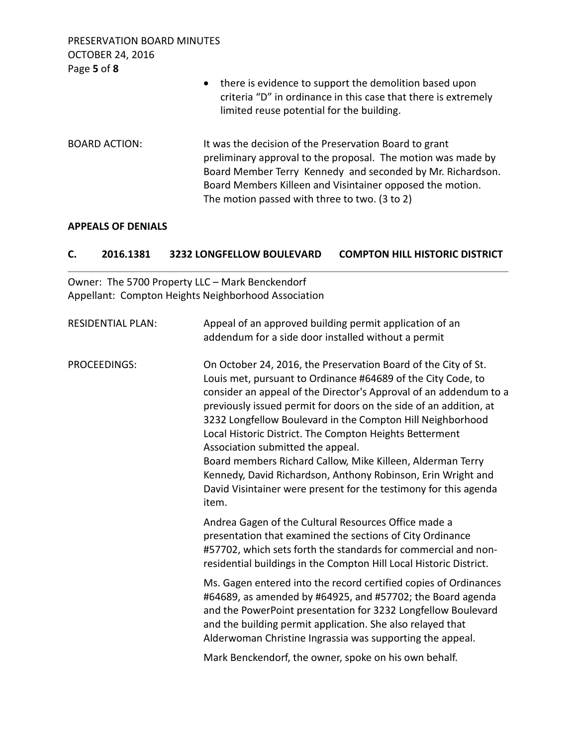PRESERVATION BOARD MINUTES OCTOBER 24, 2016 Page **5** of **8**

|                      | there is evidence to support the demolition based upon<br>$\bullet$<br>criteria "D" in ordinance in this case that there is extremely<br>limited reuse potential for the building.                                                                                                                 |
|----------------------|----------------------------------------------------------------------------------------------------------------------------------------------------------------------------------------------------------------------------------------------------------------------------------------------------|
| <b>BOARD ACTION:</b> | It was the decision of the Preservation Board to grant<br>preliminary approval to the proposal. The motion was made by<br>Board Member Terry Kennedy and seconded by Mr. Richardson.<br>Board Members Killeen and Visintainer opposed the motion.<br>The motion passed with three to two. (3 to 2) |

### **APPEALS OF DENIALS**

# **C. 2016.1381 3232 LONGFELLOW BOULEVARD COMPTON HILL HISTORIC DISTRICT**

Owner: The 5700 Property LLC – Mark Benckendorf Appellant: Compton Heights Neighborhood Association

| <b>RESIDENTIAL PLAN:</b> | Appeal of an approved building permit application of an<br>addendum for a side door installed without a permit                                                                                                                                                                                                                                                                                                                                                                                                                                                                                                                                    |
|--------------------------|---------------------------------------------------------------------------------------------------------------------------------------------------------------------------------------------------------------------------------------------------------------------------------------------------------------------------------------------------------------------------------------------------------------------------------------------------------------------------------------------------------------------------------------------------------------------------------------------------------------------------------------------------|
| PROCEEDINGS:             | On October 24, 2016, the Preservation Board of the City of St.<br>Louis met, pursuant to Ordinance #64689 of the City Code, to<br>consider an appeal of the Director's Approval of an addendum to a<br>previously issued permit for doors on the side of an addition, at<br>3232 Longfellow Boulevard in the Compton Hill Neighborhood<br>Local Historic District. The Compton Heights Betterment<br>Association submitted the appeal.<br>Board members Richard Callow, Mike Killeen, Alderman Terry<br>Kennedy, David Richardson, Anthony Robinson, Erin Wright and<br>David Visintainer were present for the testimony for this agenda<br>item. |
|                          | Andrea Gagen of the Cultural Resources Office made a<br>presentation that examined the sections of City Ordinance<br>#57702, which sets forth the standards for commercial and non-<br>residential buildings in the Compton Hill Local Historic District.                                                                                                                                                                                                                                                                                                                                                                                         |
|                          | Ms. Gagen entered into the record certified copies of Ordinances<br>#64689, as amended by #64925, and #57702; the Board agenda<br>and the PowerPoint presentation for 3232 Longfellow Boulevard<br>and the building permit application. She also relayed that<br>Alderwoman Christine Ingrassia was supporting the appeal.                                                                                                                                                                                                                                                                                                                        |
|                          | Mark Benckendorf, the owner, spoke on his own behalf.                                                                                                                                                                                                                                                                                                                                                                                                                                                                                                                                                                                             |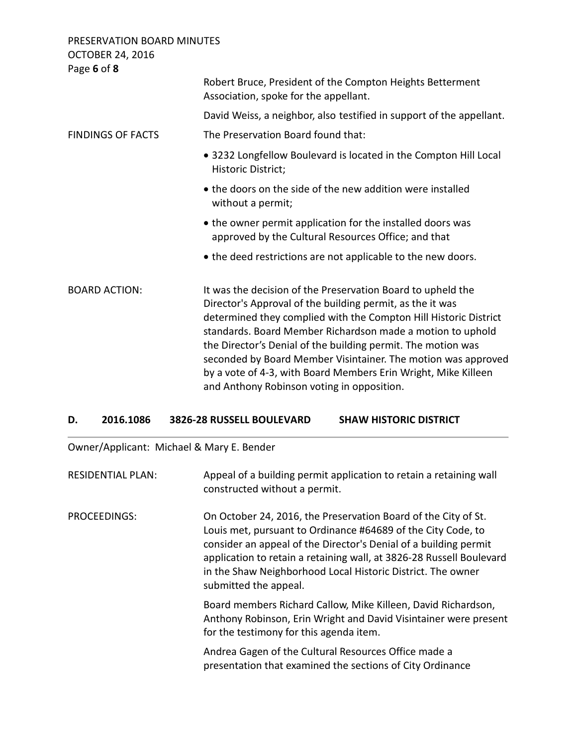PRESERVATION BOARD MINUTES OCTOBER 24, 2016 Page **6** of **8**

| Page <b>b</b> of <b>8</b> |                                                                                                                                                                                                                                                                                                                                                                                                                                                                                                             |
|---------------------------|-------------------------------------------------------------------------------------------------------------------------------------------------------------------------------------------------------------------------------------------------------------------------------------------------------------------------------------------------------------------------------------------------------------------------------------------------------------------------------------------------------------|
|                           | Robert Bruce, President of the Compton Heights Betterment<br>Association, spoke for the appellant.                                                                                                                                                                                                                                                                                                                                                                                                          |
|                           | David Weiss, a neighbor, also testified in support of the appellant.                                                                                                                                                                                                                                                                                                                                                                                                                                        |
| <b>FINDINGS OF FACTS</b>  | The Preservation Board found that:                                                                                                                                                                                                                                                                                                                                                                                                                                                                          |
|                           | • 3232 Longfellow Boulevard is located in the Compton Hill Local<br>Historic District;                                                                                                                                                                                                                                                                                                                                                                                                                      |
|                           | • the doors on the side of the new addition were installed<br>without a permit;                                                                                                                                                                                                                                                                                                                                                                                                                             |
|                           | • the owner permit application for the installed doors was<br>approved by the Cultural Resources Office; and that                                                                                                                                                                                                                                                                                                                                                                                           |
|                           | • the deed restrictions are not applicable to the new doors.                                                                                                                                                                                                                                                                                                                                                                                                                                                |
| <b>BOARD ACTION:</b>      | It was the decision of the Preservation Board to upheld the<br>Director's Approval of the building permit, as the it was<br>determined they complied with the Compton Hill Historic District<br>standards. Board Member Richardson made a motion to uphold<br>the Director's Denial of the building permit. The motion was<br>seconded by Board Member Visintainer. The motion was approved<br>by a vote of 4-3, with Board Members Erin Wright, Mike Killeen<br>and Anthony Robinson voting in opposition. |

## **D. 2016.1086 3826-28 RUSSELL BOULEVARD SHAW HISTORIC DISTRICT**

Owner/Applicant: Michael & Mary E. Bender

| <b>RESIDENTIAL PLAN:</b> | Appeal of a building permit application to retain a retaining wall<br>constructed without a permit.                                                                                                                                                                                                                                                                |
|--------------------------|--------------------------------------------------------------------------------------------------------------------------------------------------------------------------------------------------------------------------------------------------------------------------------------------------------------------------------------------------------------------|
| PROCEEDINGS:             | On October 24, 2016, the Preservation Board of the City of St.<br>Louis met, pursuant to Ordinance #64689 of the City Code, to<br>consider an appeal of the Director's Denial of a building permit<br>application to retain a retaining wall, at 3826-28 Russell Boulevard<br>in the Shaw Neighborhood Local Historic District. The owner<br>submitted the appeal. |
|                          | Board members Richard Callow, Mike Killeen, David Richardson,<br>Anthony Robinson, Erin Wright and David Visintainer were present<br>for the testimony for this agenda item.                                                                                                                                                                                       |
|                          | Andrea Gagen of the Cultural Resources Office made a<br>presentation that examined the sections of City Ordinance                                                                                                                                                                                                                                                  |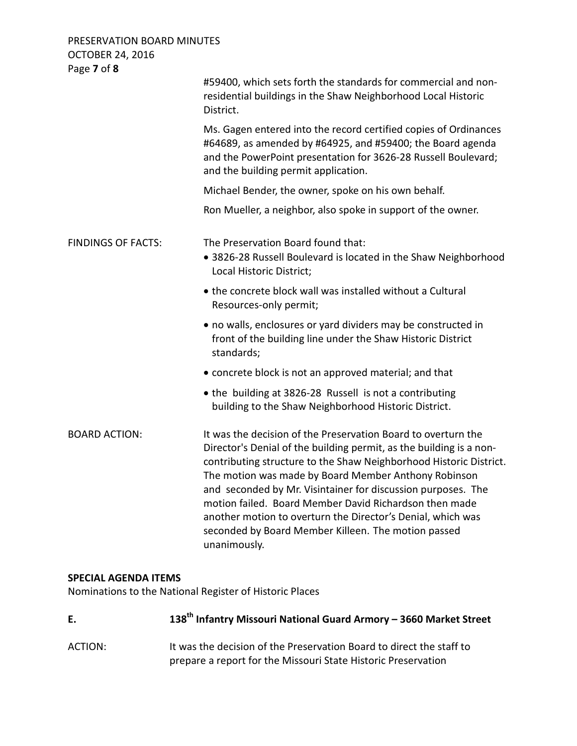PRESERVATION BOARD MINUTES OCTOBER 24, 2016 Page **7** of **8**

| #59400, which sets forth the standards for commercial and non-<br>residential buildings in the Shaw Neighborhood Local Historic<br>District.                                                                                                                                                                                                                                                                                                                                                                                       |
|------------------------------------------------------------------------------------------------------------------------------------------------------------------------------------------------------------------------------------------------------------------------------------------------------------------------------------------------------------------------------------------------------------------------------------------------------------------------------------------------------------------------------------|
| Ms. Gagen entered into the record certified copies of Ordinances<br>#64689, as amended by #64925, and #59400; the Board agenda<br>and the PowerPoint presentation for 3626-28 Russell Boulevard;<br>and the building permit application.                                                                                                                                                                                                                                                                                           |
| Michael Bender, the owner, spoke on his own behalf.                                                                                                                                                                                                                                                                                                                                                                                                                                                                                |
| Ron Mueller, a neighbor, also spoke in support of the owner.                                                                                                                                                                                                                                                                                                                                                                                                                                                                       |
| The Preservation Board found that:<br>· 3826-28 Russell Boulevard is located in the Shaw Neighborhood<br>Local Historic District;                                                                                                                                                                                                                                                                                                                                                                                                  |
| . the concrete block wall was installed without a Cultural<br>Resources-only permit;                                                                                                                                                                                                                                                                                                                                                                                                                                               |
| • no walls, enclosures or yard dividers may be constructed in<br>front of the building line under the Shaw Historic District<br>standards;                                                                                                                                                                                                                                                                                                                                                                                         |
| • concrete block is not an approved material; and that                                                                                                                                                                                                                                                                                                                                                                                                                                                                             |
| • the building at 3826-28 Russell is not a contributing<br>building to the Shaw Neighborhood Historic District.                                                                                                                                                                                                                                                                                                                                                                                                                    |
| It was the decision of the Preservation Board to overturn the<br>Director's Denial of the building permit, as the building is a non-<br>contributing structure to the Shaw Neighborhood Historic District.<br>The motion was made by Board Member Anthony Robinson<br>and seconded by Mr. Visintainer for discussion purposes. The<br>motion failed. Board Member David Richardson then made<br>another motion to overturn the Director's Denial, which was<br>seconded by Board Member Killeen. The motion passed<br>unanimously. |
|                                                                                                                                                                                                                                                                                                                                                                                                                                                                                                                                    |

# **SPECIAL AGENDA ITEMS**

Nominations to the National Register of Historic Places

| E.      | 138 <sup>th</sup> Infantry Missouri National Guard Armory - 3660 Market Street                                                        |
|---------|---------------------------------------------------------------------------------------------------------------------------------------|
| ACTION: | It was the decision of the Preservation Board to direct the staff to<br>prepare a report for the Missouri State Historic Preservation |